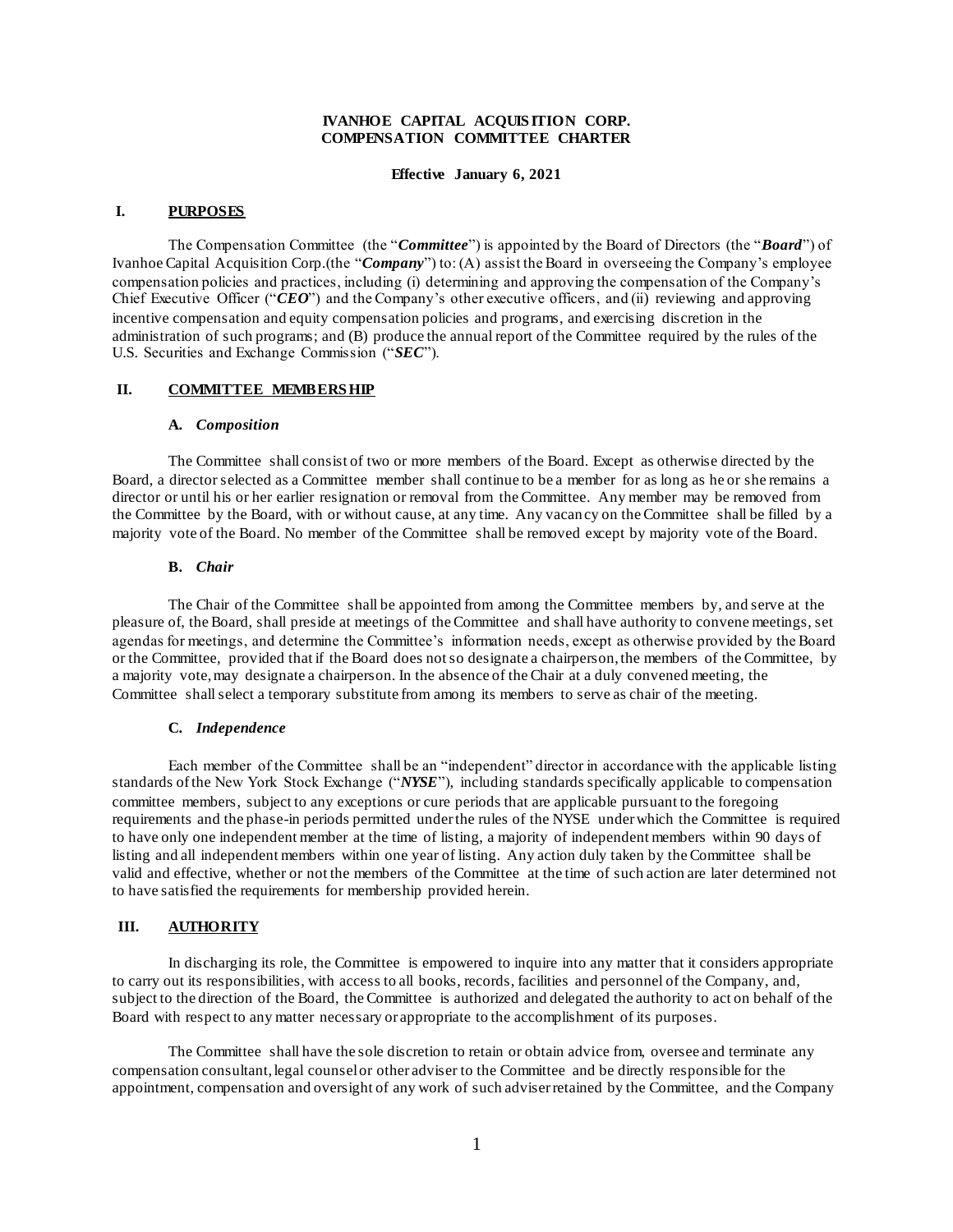## **IVANHOE CAPITAL ACQUIS ITION CORP. COMPENSATION COMMITTEE CHARTER**

**Effective January 6, 2021**

#### **I. PURPOSES**

The Compensation Committee (the "*Committee*") is appointed by the Board of Directors (the "*Board*") of Ivanhoe Capital Acquisition Corp.(the "*Company*") to: (A) assist the Board in overseeing the Company's employee compensation policies and practices, including (i) determining and approving the compensation of the Company's Chief Executive Officer ("*CEO*") and the Company's other executive officers, and (ii) reviewing and approving incentive compensation and equity compensation policies and programs, and exercising discretion in the administration of such programs; and (B) produce the annual report of the Committee required by the rules of the U.S. Securities and Exchange Commission ("*SEC*").

## **II. COMMITTEE MEMBERS HIP**

#### **A.** *Composition*

The Committee shall consist of two or more members of the Board. Except as otherwise directed by the Board, a director selected as a Committee member shall continue to be a member for as long as he or she remains a director or until his or her earlier resignation or removal from the Committee. Any member may be removed from the Committee by the Board, with or without cause, at any time. Any vacancy on the Committee shall be filled by a majority vote of the Board. No member of the Committee shall be removed except by majority vote of the Board.

## **B.** *Chair*

The Chair of the Committee shall be appointed from among the Committee members by, and serve at the pleasure of, the Board, shall preside at meetings of the Committee and shall have authority to convene meetings, set agendas for meetings, and determine the Committee's information needs, except as otherwise provided by the Board or the Committee, provided that if the Board does not so designate a chairperson, the members of the Committee, by a majority vote, may designate a chairperson. In the absence of the Chair at a duly convened meeting, the Committee shall select a temporary substitute from among its members to serve as chair of the meeting.

# **C.** *Independence*

Each member of the Committee shall be an "independent" director in accordance with the applicable listing standards of the New York Stock Exchange ("*NYSE*"), including standards specifically applicable to compensation committee members, subject to any exceptions or cure periods that are applicable pursuant to the foregoing requirements and the phase-in periods permitted under the rules of the NYSE under which the Committee is required to have only one independent member at the time of listing, a majority of independent members within 90 days of listing and all independent members within one year of listing. Any action duly taken by the Committee shall be valid and effective, whether or not the members of the Committee at the time of such action are later determined not to have satisfied the requirements for membership provided herein.

## **III. AUTHORITY**

In discharging its role, the Committee is empowered to inquire into any matter that it considers appropriate to carry out its responsibilities, with access to all books, records, facilities and personnel of the Company, and, subject to the direction of the Board, the Committee is authorized and delegated the authority to act on behalf of the Board with respect to any matter necessary or appropriate to the accomplishment of its purposes.

The Committee shall have the sole discretion to retain or obtain advice from, oversee and terminate any compensation consultant, legal counsel or other adviser to the Committee and be directly responsible for the appointment, compensation and oversight of any work of such adviser retained by the Committee, and the Company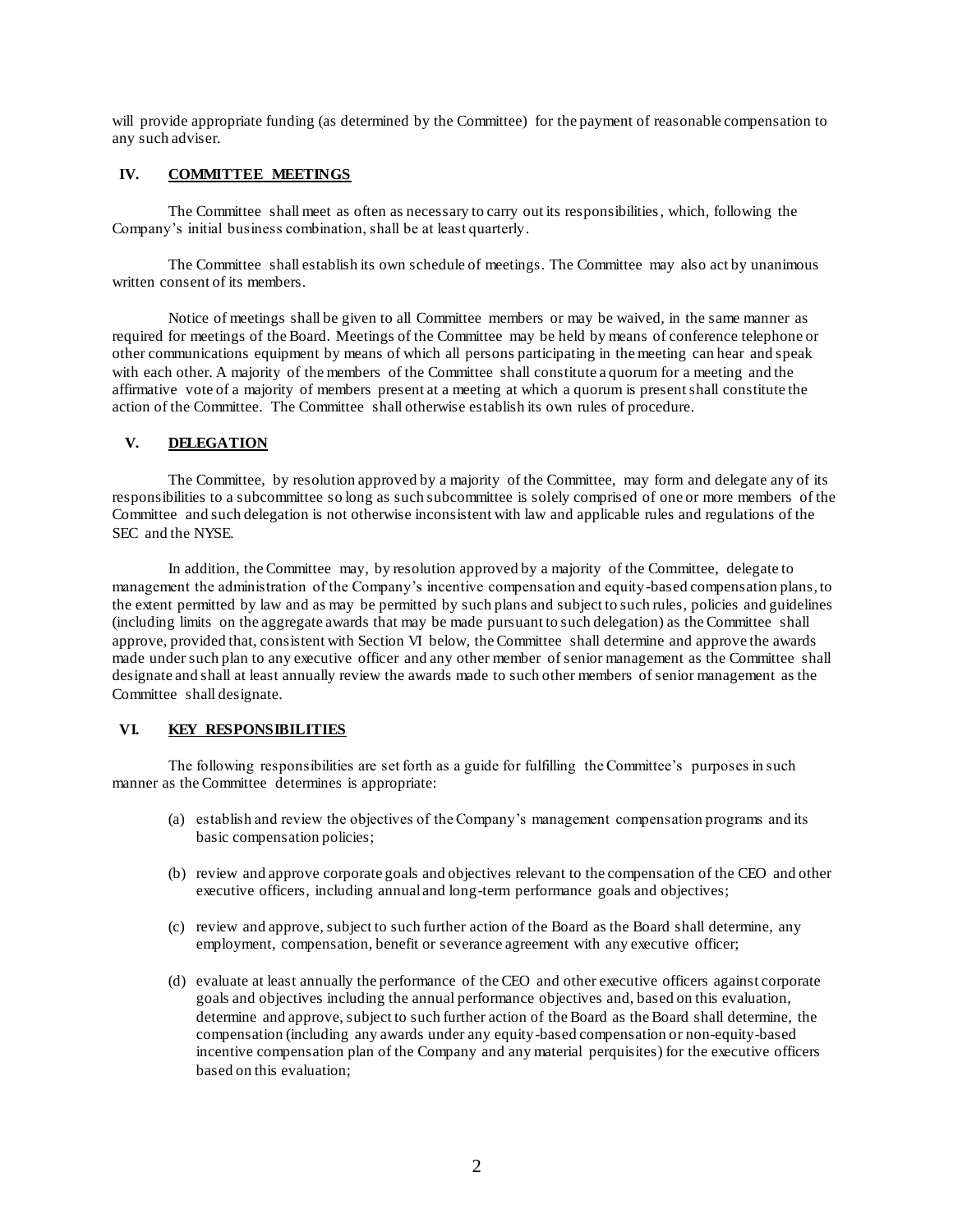will provide appropriate funding (as determined by the Committee) for the payment of reasonable compensation to any such adviser.

## **IV. COMMITTEE MEETINGS**

The Committee shall meet as often as necessary to carry out its responsibilities, which, following the Company's initial business combination, shall be at least quarterly.

The Committee shall establish its own schedule of meetings. The Committee may also act by unanimous written consent of its members.

Notice of meetings shall be given to all Committee members or may be waived, in the same manner as required for meetings of the Board. Meetings of the Committee may be held by means of conference telephone or other communications equipment by means of which all persons participating in the meeting can hear and speak with each other. A majority of the members of the Committee shall constitute a quorum for a meeting and the affirmative vote of a majority of members present at a meeting at which a quorum is present shall constitute the action of the Committee. The Committee shall otherwise establish its own rules of procedure.

### **V. DELEGATION**

The Committee, by resolution approved by a majority of the Committee, may form and delegate any of its responsibilities to a subcommittee so long as such subcommittee is solely comprised of one or more members of the Committee and such delegation is not otherwise inconsistent with law and applicable rules and regulations of the SEC and the NYSE.

In addition, the Committee may, by resolution approved by a majority of the Committee, delegate to management the administration of the Company's incentive compensation and equity -based compensation plans, to the extent permitted by law and as may be permitted by such plans and subject to such rules, policies and guidelines (including limits on the aggregate awards that may be made pursuant to such delegation) as the Committee shall approve, provided that, consistent with Section VI below, the Committee shall determine and approve the awards made under such plan to any executive officer and any other member of senior management as the Committee shall designate and shall at least annually review the awards made to such other members of senior management as the Committee shall designate.

# **VI. KEY RESPONSIBILITIES**

The following responsibilities are set forth as a guide for fulfilling the Committee's purposes in such manner as the Committee determines is appropriate:

- (a) establish and review the objectives of the Company's management compensation programs and its basic compensation policies;
- (b) review and approve corporate goals and objectives relevant to the compensation of the CEO and other executive officers, including annual and long-term performance goals and objectives;
- (c) review and approve, subject to such further action of the Board as the Board shall determine, any employment, compensation, benefit or severance agreement with any executive officer;
- (d) evaluate at least annually the performance of the CEO and other executive officers against corporate goals and objectives including the annual performance objectives and, based on this evaluation, determine and approve, subject to such further action of the Board as the Board shall determine, the compensation (including any awards under any equity-based compensation or non-equity-based incentive compensation plan of the Company and any material perquisites) for the executive officers based on this evaluation;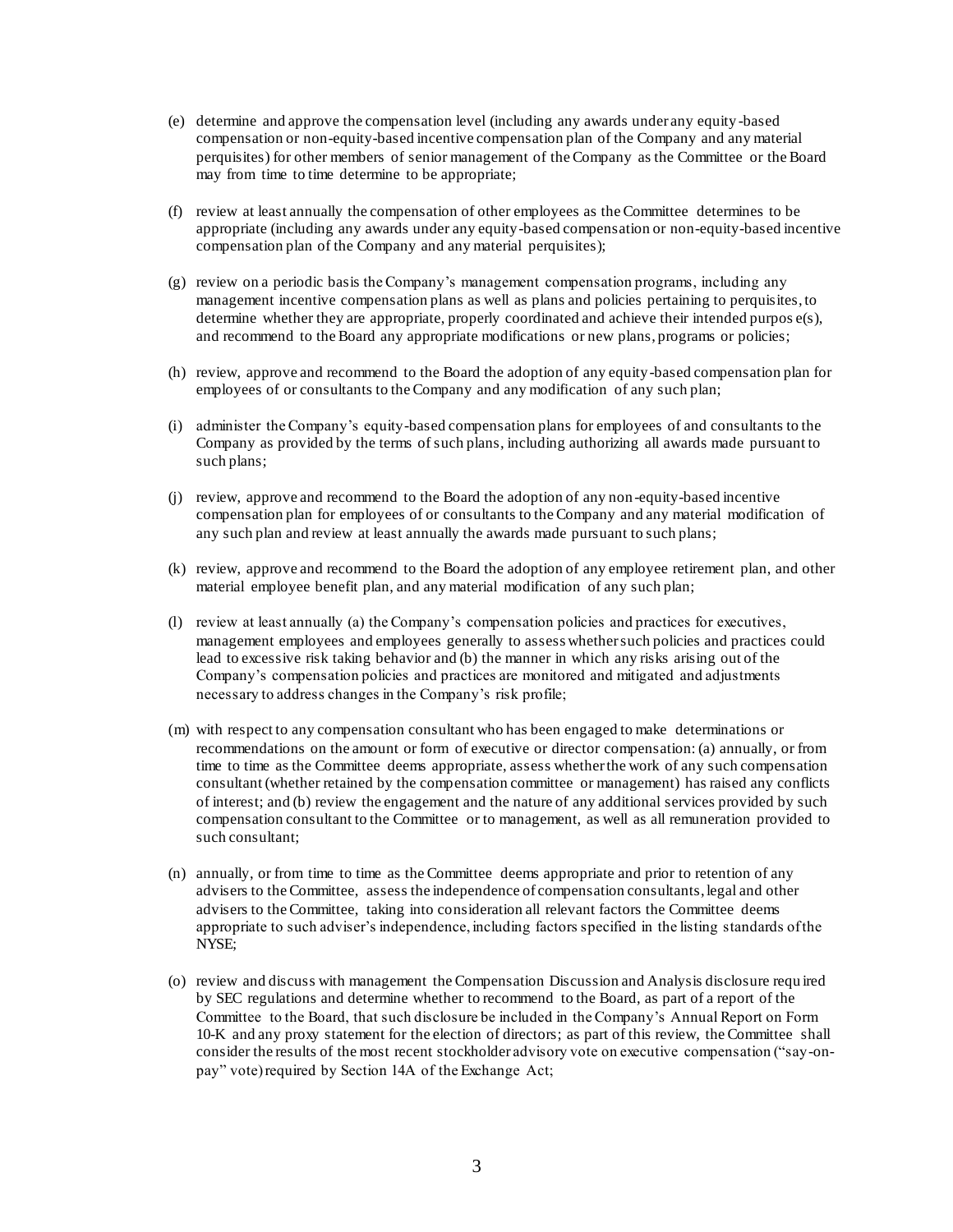- (e) determine and approve the compensation level (including any awards under any equity -based compensation or non-equity-based incentive compensation plan of the Company and any material perquisites) for other members of senior management of the Company as the Committee or the Board may from time to time determine to be appropriate;
- (f) review at least annually the compensation of other employees as the Committee determines to be appropriate (including any awards under any equity-based compensation or non-equity-based incentive compensation plan of the Company and any material perquisites);
- (g) review on a periodic basis the Company's management compensation programs, including any management incentive compensation plans as well as plans and policies pertaining to perquisites, to determine whether they are appropriate, properly coordinated and achieve their intended purpos e(s), and recommend to the Board any appropriate modifications or new plans, programs or policies;
- (h) review, approve and recommend to the Board the adoption of any equity-based compensation plan for employees of or consultants to the Company and any modification of any such plan;
- (i) administer the Company's equity-based compensation plans for employees of and consultants to the Company as provided by the terms of such plans, including authorizing all awards made pursuant to such plans;
- (j) review, approve and recommend to the Board the adoption of any non-equity-based incentive compensation plan for employees of or consultants to the Company and any material modification of any such plan and review at least annually the awards made pursuant to such plans;
- (k) review, approve and recommend to the Board the adoption of any employee retirement plan, and other material employee benefit plan, and any material modification of any such plan;
- (l) review at least annually (a) the Company's compensation policies and practices for executives, management employees and employees generally to assess whether such policies and practices could lead to excessive risk taking behavior and (b) the manner in which any risks arising out of the Company's compensation policies and practices are monitored and mitigated and adjustments necessary to address changes in the Company's risk profile;
- (m) with respect to any compensation consultant who has been engaged to make determinations or recommendations on the amount or form of executive or director compensation: (a) annually, or from time to time as the Committee deems appropriate, assess whether the work of any such compensation consultant (whether retained by the compensation committee or management) has raised any conflicts of interest; and (b) review the engagement and the nature of any additional services provided by such compensation consultant to the Committee or to management, as well as all remuneration provided to such consultant;
- (n) annually, or from time to time as the Committee deems appropriate and prior to retention of any advisers to the Committee, assess the independence of compensation consultants, legal and other advisers to the Committee, taking into consideration all relevant factors the Committee deems appropriate to such adviser's independence, including factors specified in the listing standards of the NYSE;
- (o) review and discuss with management the Compensation Discussion and Analysis disclosure requ ired by SEC regulations and determine whether to recommend to the Board, as part of a report of the Committee to the Board, that such disclosure be included in the Company's Annual Report on Form 10-K and any proxy statement for the election of directors; as part of this review, the Committee shall consider the results of the most recent stockholder advisory vote on executive compensation ("say-onpay" vote) required by Section 14A of the Exchange Act;